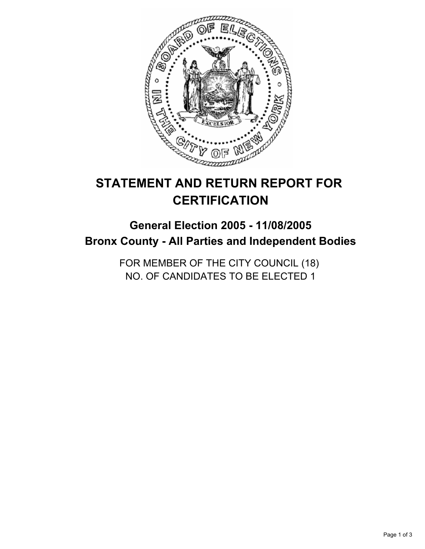

# **STATEMENT AND RETURN REPORT FOR CERTIFICATION**

## **General Election 2005 - 11/08/2005 Bronx County - All Parties and Independent Bodies**

FOR MEMBER OF THE CITY COUNCIL (18) NO. OF CANDIDATES TO BE ELECTED 1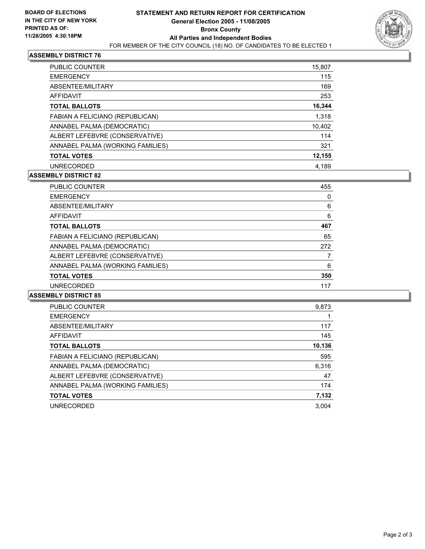

#### **ASSEMBLY DISTRICT 76**

| <b>PUBLIC COUNTER</b>            | 15,807 |
|----------------------------------|--------|
| <b>EMERGENCY</b>                 | 115    |
| ABSENTEE/MILITARY                | 169    |
| AFFIDAVIT                        | 253    |
| <b>TOTAL BALLOTS</b>             | 16,344 |
| FABIAN A FELICIANO (REPUBLICAN)  | 1,318  |
| ANNABEL PALMA (DEMOCRATIC)       | 10,402 |
| ALBERT LEFEBVRE (CONSERVATIVE)   | 114    |
| ANNABEL PALMA (WORKING FAMILIES) | 321    |
| <b>TOTAL VOTES</b>               | 12,155 |
| <b>UNRECORDED</b>                | 4,189  |

### **ASSEMBLY DISTRICT 82**

| <b>PUBLIC COUNTER</b>            | 455 |  |
|----------------------------------|-----|--|
| <b>EMERGENCY</b>                 | U   |  |
| ABSENTEE/MILITARY                | 6   |  |
| <b>AFFIDAVIT</b>                 | 6   |  |
| <b>TOTAL BALLOTS</b>             | 467 |  |
| FABIAN A FELICIANO (REPUBLICAN)  | 65  |  |
| ANNABEL PALMA (DEMOCRATIC)       | 272 |  |
| ALBERT LEFEBVRE (CONSERVATIVE)   |     |  |
| ANNABEL PALMA (WORKING FAMILIES) | 6   |  |
| <b>TOTAL VOTES</b>               | 350 |  |
| <b>UNRECORDED</b>                | 117 |  |

#### **ASSEMBLY DISTRICT 85**

| <b>PUBLIC COUNTER</b>            | 9,873  |
|----------------------------------|--------|
| <b>EMERGENCY</b>                 |        |
| ABSENTEE/MILITARY                | 117    |
| AFFIDAVIT                        | 145    |
| <b>TOTAL BALLOTS</b>             | 10,136 |
| FABIAN A FELICIANO (REPUBLICAN)  | 595    |
| ANNABEL PALMA (DEMOCRATIC)       | 6,316  |
| ALBERT LEFEBVRE (CONSERVATIVE)   | 47     |
| ANNABEL PALMA (WORKING FAMILIES) | 174    |
| <b>TOTAL VOTES</b>               | 7,132  |
| <b>UNRECORDED</b>                | 3.004  |